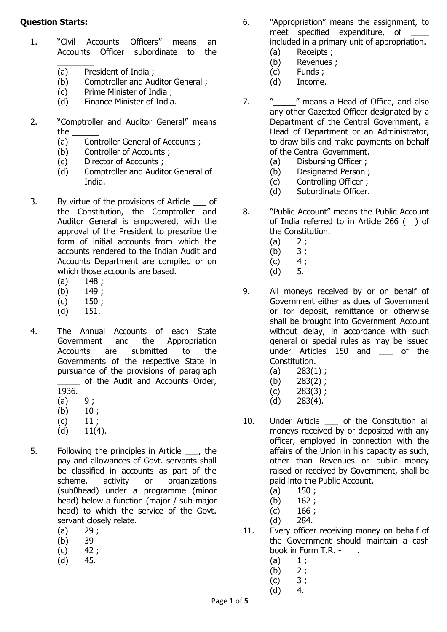## **Question Starts:**

- 1. "Civil Accounts Officers" means an Accounts Officer subordinate to the
	- $\overline{\phantom{a}}$  ,  $\overline{\phantom{a}}$  ,  $\overline{\phantom{a}}$  ,  $\overline{\phantom{a}}$  ,  $\overline{\phantom{a}}$  ,  $\overline{\phantom{a}}$  ,  $\overline{\phantom{a}}$  ,  $\overline{\phantom{a}}$  ,  $\overline{\phantom{a}}$  ,  $\overline{\phantom{a}}$  ,  $\overline{\phantom{a}}$  ,  $\overline{\phantom{a}}$  ,  $\overline{\phantom{a}}$  ,  $\overline{\phantom{a}}$  ,  $\overline{\phantom{a}}$  ,  $\overline{\phantom{a}}$ (a) President of India ;
	- (b) Comptroller and Auditor General ;
	- (c) Prime Minister of India ;
	- (d) Finance Minister of India.
- 2. "Comptroller and Auditor General" means the \_\_\_\_\_\_
	- (a) Controller General of Accounts ;
	- (b) Controller of Accounts ;
	- (c) Director of Accounts ;
	- (d) Comptroller and Auditor General of India.
- 3. By virtue of the provisions of Article of the Constitution, the Comptroller and Auditor General is empowered, with the approval of the President to prescribe the form of initial accounts from which the accounts rendered to the Indian Audit and Accounts Department are compiled or on which those accounts are based.
	- $(a)$  148;
	- (b) 149 ;
	- $(c)$  150;
	- (d) 151.
- 4. The Annual Accounts of each State Government and the Appropriation Accounts are submitted to the Governments of the respective State in pursuance of the provisions of paragraph \_\_\_\_\_ of the Audit and Accounts Order, 1936.
	- $(a) 9;$
	- $(b) 10;$
	- $(c)$  11;
	- $(d)$  11(4).
- 5. Following the principles in Article \_\_\_, the pay and allowances of Govt. servants shall be classified in accounts as part of the scheme, activity or organizations (sub0head) under a programme (minor head) below a function (major / sub-major head) to which the service of the Govt. servant closely relate.
	- $(a)$  29;
	- (b) 39
	- $(c)$  42;
	- (d) 45.
- 6. "Appropriation" means the assignment, to meet specified expenditure, of included in a primary unit of appropriation.
	- (a) Receipts ;
	- (b) Revenues ;
	- (c) Funds ;
	- (d) Income.
- 7. "\_\_\_\_" means a Head of Office, and also any other Gazetted Officer designated by a Department of the Central Government, a Head of Department or an Administrator, to draw bills and make payments on behalf of the Central Government.
	- (a) Disbursing Officer ;
	- (b) Designated Person ;
	- (c) Controlling Officer ;
	- (d) Subordinate Officer.
- 8. "Public Account" means the Public Account of India referred to in Article 266 (\_\_) of the Constitution.
	- $(a) 2;$
	- (b) 3 ;
	- $(c) 4;$
	- $(d)$  5.
- 9. All moneys received by or on behalf of Government either as dues of Government or for deposit, remittance or otherwise shall be brought into Government Account without delay, in accordance with such general or special rules as may be issued under Articles 150 and of the Constitution.
	- (a)  $283(1)$ ;
	- (b) 283(2) ;
	- $(c)$  283(3);
	- (d) 283(4).
- 10. Under Article \_\_\_ of the Constitution all moneys received by or deposited with any officer, employed in connection with the affairs of the Union in his capacity as such, other than Revenues or public money raised or received by Government, shall be paid into the Public Account.
	- $(a)$  150;
	- (b) 162 ;
	- $(c)$  166;
	- (d) 284.
- 11. Every officer receiving money on behalf of the Government should maintain a cash book in Form T.R. - \_\_\_.
	- $(a) 1;$
	- $(b) 2;$
	- $(c) 3;$
	- (d) 4.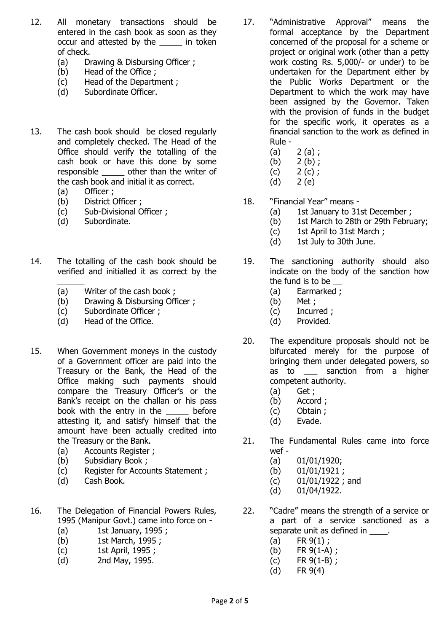- 12. All monetary transactions should be entered in the cash book as soon as they occur and attested by the \_\_\_\_\_ in token of check.
	- (a) Drawing & Disbursing Officer ;
	- (b) Head of the Office ;
	- (c) Head of the Department ;
	- (d) Subordinate Officer.
- 13. The cash book should be closed regularly and completely checked. The Head of the Office should verify the totalling of the cash book or have this done by some responsible other than the writer of the cash book and initial it as correct.
	- (a) Officer ;
	- (b) District Officer ;
	- (c) Sub-Divisional Officer ;
	- (d) Subordinate.
- 14. The totalling of the cash book should be verified and initialled it as correct by the
	- $\overline{\phantom{a}}$ (a) Writer of the cash book ;
	- (b) Drawing & Disbursing Officer ;
	- (c) Subordinate Officer ;
	- (d) Head of the Office.
- 15. When Government moneys in the custody of a Government officer are paid into the Treasury or the Bank, the Head of the Office making such payments should compare the Treasury Officer's or the Bank's receipt on the challan or his pass book with the entry in the before attesting it, and satisfy himself that the amount have been actually credited into the Treasury or the Bank.
	- (a) Accounts Register ;
	- (b) Subsidiary Book ;
	- (c) Register for Accounts Statement ;
	- (d) Cash Book.
- 16. The Delegation of Financial Powers Rules, 1995 (Manipur Govt.) came into force on -
	- (a) 1st January, 1995 ;
	- (b) 1st March, 1995 ;
	- (c) 1st April, 1995 ;
	- (d) 2nd May, 1995.
- 17. "Administrative Approval" means the formal acceptance by the Department concerned of the proposal for a scheme or project or original work (other than a petty work costing Rs. 5,000/- or under) to be undertaken for the Department either by the Public Works Department or the Department to which the work may have been assigned by the Governor. Taken with the provision of funds in the budget for the specific work, it operates as a financial sanction to the work as defined in Rule -
	- $(a) 2 (a)$ ;
	- (b) 2 (b) ;
	- $(c)$  2  $(c)$ ;
	- (d) 2 (e)
- 18. "Financial Year" means
	- (a) 1st January to 31st December ;
	- (b) 1st March to 28th or 29th February;
	- (c) 1st April to 31st March ;
	- (d) 1st July to 30th June.
- 19. The sanctioning authority should also indicate on the body of the sanction how the fund is to be
	- (a) Earmarked ;
	- (b) Met ;
	- (c) Incurred ;
	- (d) Provided.
- 20. The expenditure proposals should not be bifurcated merely for the purpose of bringing them under delegated powers, so as to as sanction from a higher competent authority.
	- (a) Get ;
	- (b) Accord ;
	- (c) Obtain ;
	- (d) Evade.
- 21. The Fundamental Rules came into force wef -
	- (a) 01/01/1920;
	- (b) 01/01/1921 ;
	- (c) 01/01/1922 ; and
	- (d) 01/04/1922.
- 22. "Cadre" means the strength of a service or a part of a service sanctioned as a separate unit as defined in  $\qquad \quad$ .
	- $(a)$  FR  $9(1)$ ;
	- (b) FR 9(1-A) ;
	- $(c)$  FR  $9(1-B)$ ;
	- (d) FR 9(4)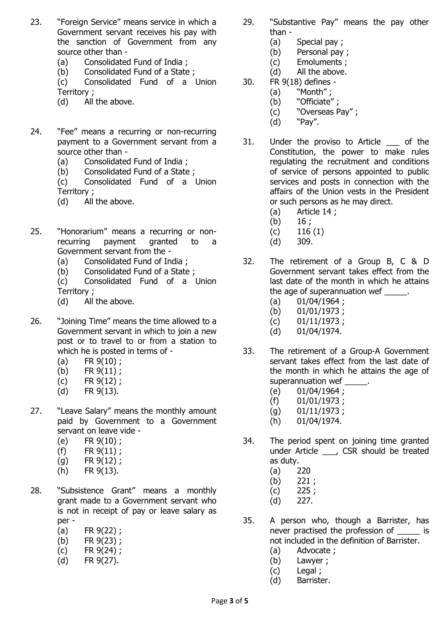- 23. "Foreign Service" means service in which a Government servant receives his pay with the sanction of Government from any source other than -
	- (a) Consolidated Fund of India ;
	- (b) Consolidated Fund of a State ;

(c) Consolidated Fund of a Union Territory ;

- (d) All the above.
- 24. "Fee" means a recurring or non-recurring payment to a Government servant from a source other than -
	- (a) Consolidated Fund of India ;
	- (b) Consolidated Fund of a State ;
	- (c) Consolidated Fund of a Union Territory ;
	- (d) All the above.
- 25. "Honorarium" means a recurring or nonrecurring payment granted to a Government servant from the -
	- (a) Consolidated Fund of India ;
	- (b) Consolidated Fund of a State ;
	- (c) Consolidated Fund of a Union Territory ;
	- (d) All the above.
- 26. "Joining Time" means the time allowed to a Government servant in which to join a new post or to travel to or from a station to which he is posted in terms of -
	- (a)  $FR 9(10)$ ;
	- (b) FR 9(11) ;
	- (c) FR 9(12) ;
	- (d) FR 9(13).
- 27. "Leave Salary" means the monthly amount paid by Government to a Government servant on leave vide -
	- (e) FR 9(10) ;
	- (f) FR 9(11) ;
	- $(g)$  FR  $9(12)$ ;
	- (h) FR 9(13).
- 28. "Subsistence Grant" means a monthly grant made to a Government servant who is not in receipt of pay or leave salary as per -
	- (a) FR 9(22) ;
	- (b) FR 9(23) ;
	- (c) FR 9(24) ;
	- (d) FR 9(27).
- 29. "Substantive Pay" means the pay other than -
	- (a) Special pay ;
	- (b) Personal pay ;
	- (c) Emoluments ;
	- (d) All the above.
- 30. FR 9(18) defines
	- (a) "Month" ;
	- (b) "Officiate";
	- (c) "Overseas Pay" ;
	- (d) "Pay".
- 31. Under the proviso to Article \_\_\_ of the Constitution, the power to make rules regulating the recruitment and conditions of service of persons appointed to public services and posts in connection with the affairs of the Union vests in the President or such persons as he may direct.
	- (a) Article 14 ;
	- $(b)$  16;
	- $(c)$  116 (1)
	- (d) 309.
- 32. The retirement of a Group B, C & D Government servant takes effect from the last date of the month in which he attains the age of superannuation wef \_\_\_\_\_.
	- $(a)$  01/04/1964;
	- (b) 01/01/1973 ;
	- $(c)$  01/11/1973;
	- (d) 01/04/1974.
- 33. The retirement of a Group-A Government servant takes effect from the last date of the month in which he attains the age of superannuation wef \_\_\_\_
	- (e) 01/04/1964 ;
	- (f) 01/01/1973 ;
	- $(g)$  01/11/1973;
	- (h) 01/04/1974.
- 34. The period spent on joining time granted under Article \_\_\_, CSR should be treated as duty.
	- (a) 220
	- (b) 221 ;
	- $(c)$  225;
	- (d) 227.
- 35. A person who, though a Barrister, has never practised the profession of  $\qquad$  is not included in the definition of Barrister.
	- (a) Advocate ;
	- (b) Lawyer ;
	- (c) Legal ;
	- (d) Barrister.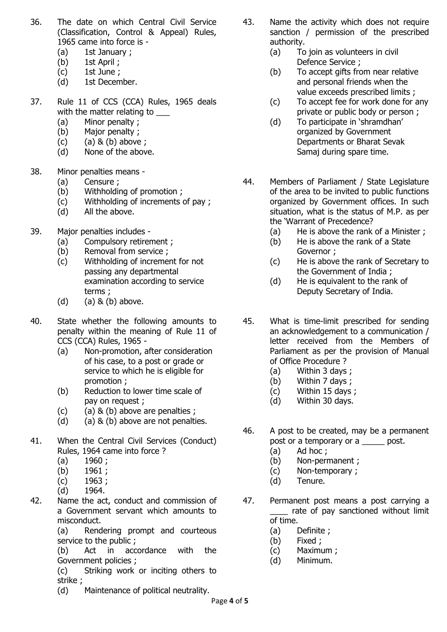- 36. The date on which Central Civil Service (Classification, Control & Appeal) Rules, 1965 came into force is -
	- (a) 1st January ;
	- (b) 1st April ;
	- (c) 1st June ;
	- (d) 1st December.
- 37. Rule 11 of CCS (CCA) Rules, 1965 deals with the matter relating to
	- (a) Minor penalty ;
	- (b) Major penalty ;
	- (c)  $(a) 8 (b)$  above;
	- (d) None of the above.
- 38. Minor penalties means
	- (a) Censure ;
	- (b) Withholding of promotion ;
	- (c) Withholding of increments of pay ;
	- (d) All the above.
- 39. Major penalties includes
	- (a) Compulsory retirement ;
	- (b) Removal from service ;
	- (c) Withholding of increment for not passing any departmental examination according to service terms ;
	- (d)  $(a)$  & (b) above.
- 40. State whether the following amounts to penalty within the meaning of Rule 11 of CCS (CCA) Rules, 1965 -
	- (a) Non-promotion, after consideration of his case, to a post or grade or service to which he is eligible for promotion ;
	- (b) Reduction to lower time scale of pay on request ;
	- (c) (a)  $\&$  (b) above are penalties ;
	- (d) (a)  $\&$  (b) above are not penalties.
- 41. When the Central Civil Services (Conduct) Rules, 1964 came into force ?
	- $(a)$  1960;
	- (b) 1961;
	- (c) 1963 ;
	- (d) 1964.
- 42. Name the act, conduct and commission of a Government servant which amounts to misconduct.

(a) Rendering prompt and courteous service to the public ;

(b) Act in accordance with the Government policies ;

(c) Striking work or inciting others to strike ;

(d) Maintenance of political neutrality.

- 43. Name the activity which does not require sanction / permission of the prescribed authority.
	- (a) To join as volunteers in civil Defence Service ;
	- (b) To accept gifts from near relative and personal friends when the value exceeds prescribed limits ;
	- (c) To accept fee for work done for any private or public body or person ;
	- (d) To participate in 'shramdhan' organized by Government Departments or Bharat Sevak Samaj during spare time.
- 44. Members of Parliament / State Legislature of the area to be invited to public functions organized by Government offices. In such situation, what is the status of M.P. as per the 'Warrant of Precedence?
	- (a) He is above the rank of a Minister ;
	- (b) He is above the rank of a State Governor ;
	- (c) He is above the rank of Secretary to the Government of India ;
	- (d) He is equivalent to the rank of Deputy Secretary of India.
- 45. What is time-limit prescribed for sending an acknowledgement to a communication / letter received from the Members of Parliament as per the provision of Manual of Office Procedure ?
	- (a) Within 3 days ;
	- (b) Within 7 days ;
	- (c) Within 15 days ;
	- (d) Within 30 days.
- 46. A post to be created, may be a permanent post or a temporary or a \_\_\_\_\_ post.
	- (a) Ad hoc ;
	- (b) Non-permanent ;
	- (c) Non-temporary ;
	- (d) Tenure.
- 47. Permanent post means a post carrying a \_\_\_\_ rate of pay sanctioned without limit of time.
	- (a) Definite ;
	- (b) Fixed ;
	- (c) Maximum ;
	- (d) Minimum.